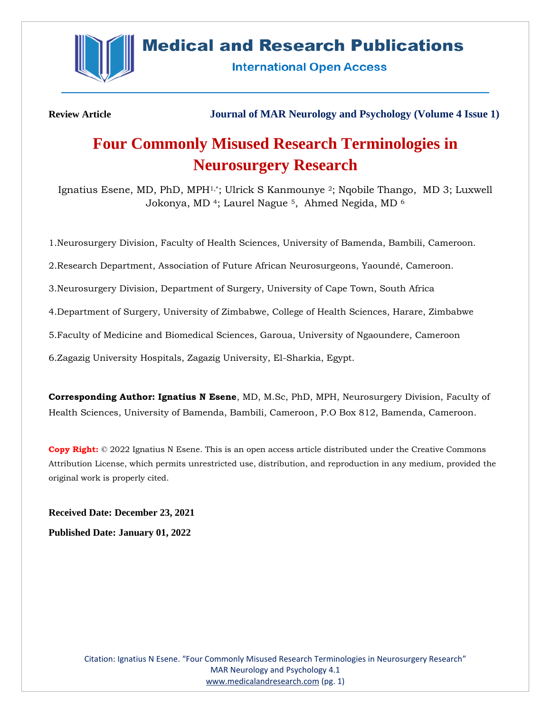

## **Medical and Research Publications**

**International Open Access** 

**Review Article Journal of MAR Neurology and Psychology (Volume 4 Issue 1)**

# **Four Commonly Misused Research Terminologies in Neurosurgery Research**

Ignatius Esene, MD, PhD, MPH1,\*; Ulrick S Kanmounye <sup>2</sup>; Nqobile Thango, MD 3; Luxwell Jokonya, MD <sup>4</sup>; Laurel Nague <sup>5</sup>, Ahmed Negida, MD <sup>6</sup>

1.Neurosurgery Division, Faculty of Health Sciences, University of Bamenda, Bambili, Cameroon.

2.Research Department, Association of Future African Neurosurgeons, Yaoundé, Cameroon.

3.Neurosurgery Division, Department of Surgery, University of Cape Town, South Africa

4.Department of Surgery, University of Zimbabwe, College of Health Sciences, Harare, Zimbabwe

5.Faculty of Medicine and Biomedical Sciences, Garoua, University of Ngaoundere, Cameroon

6.Zagazig University Hospitals, Zagazig University, El-Sharkia, Egypt.

**Corresponding Author: Ignatius N Esene**, MD, M.Sc, PhD, MPH, Neurosurgery Division, Faculty of Health Sciences, University of Bamenda, Bambili, Cameroon, P.O Box 812, Bamenda, Cameroon.

**Copy Right:** © 2022 Ignatius N Esene. This is an open access article distributed under the Creative Commons Attribution License, which permits unrestricted use, distribution, and reproduction in any medium, provided the original work is properly cited.

**Received Date: December 23, 2021 Published Date: January 01, 2022**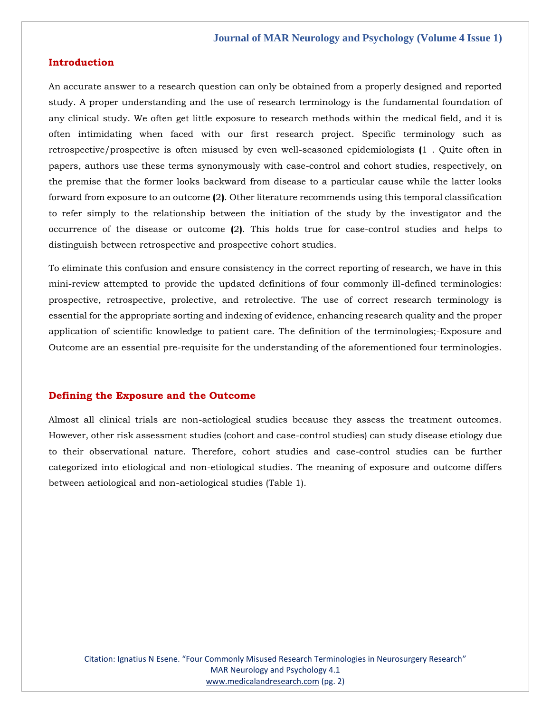#### **Introduction**

An accurate answer to a research question can only be obtained from a properly designed and reported study. A proper understanding and the use of research terminology is the fundamental foundation of any clinical study. We often get little exposure to research methods within the medical field, and it is often intimidating when faced with our first research project. Specific terminology such as retrospective/prospective is often misused by even well-seasoned epidemiologists **(**1 . Quite often in papers, authors use these terms synonymously with case-control and cohort studies, respectively, on the premise that the former looks backward from disease to a particular cause while the latter looks forward from exposure to an outcome **(**2**)**. Other literature recommends using this temporal classification to refer simply to the relationship between the initiation of the study by the investigator and the occurrence of the disease or outcome **(**2**)**. This holds true for case-control studies and helps to distinguish between retrospective and prospective cohort studies.

To eliminate this confusion and ensure consistency in the correct reporting of research, we have in this mini-review attempted to provide the updated definitions of four commonly ill-defined terminologies: prospective, retrospective, prolective, and retrolective. The use of correct research terminology is essential for the appropriate sorting and indexing of evidence, enhancing research quality and the proper application of scientific knowledge to patient care. The definition of the terminologies;-Exposure and Outcome are an essential pre-requisite for the understanding of the aforementioned four terminologies.

#### **Defining the Exposure and the Outcome**

Almost all clinical trials are non-aetiological studies because they assess the treatment outcomes. However, other risk assessment studies (cohort and case-control studies) can study disease etiology due to their observational nature. Therefore, cohort studies and case-control studies can be further categorized into etiological and non-etiological studies. The meaning of exposure and outcome differs between aetiological and non-aetiological studies (Table 1).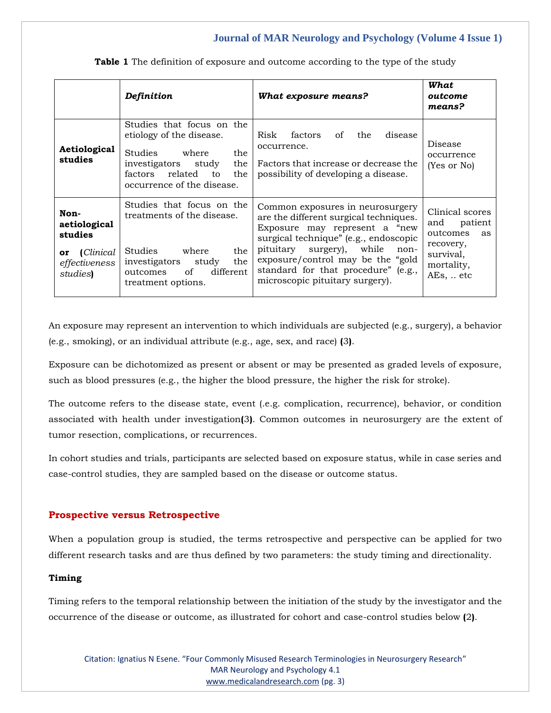|                                                                                       | Definition                                                                                                                                                                                | What exposure means?                                                                                                                                                                                                                                                                                      | What<br>outcome<br>means?                                                                                |
|---------------------------------------------------------------------------------------|-------------------------------------------------------------------------------------------------------------------------------------------------------------------------------------------|-----------------------------------------------------------------------------------------------------------------------------------------------------------------------------------------------------------------------------------------------------------------------------------------------------------|----------------------------------------------------------------------------------------------------------|
| Aetiological<br>studies                                                               | Studies that focus on the<br>etiology of the disease.<br><b>Studies</b><br>where<br>the<br>investigators<br>the<br>studv<br>factors<br>related<br>the<br>to<br>occurrence of the disease. | Risk<br>factors<br>disease<br>the<br>of<br>occurrence.<br>Factors that increase or decrease the<br>possibility of developing a disease.                                                                                                                                                                   | Disease<br>occurrence<br>(Yes or No)                                                                     |
| Non-<br>aetiological<br>studies<br><i>Clinical</i><br>or<br>effectiveness<br>studies) | Studies that focus on the<br>treatments of the disease.<br><b>Studies</b><br>where<br>the<br>the<br>investigators<br>study<br>of<br>different<br>outcomes<br>treatment options.           | Common exposures in neurosurgery<br>are the different surgical techniques.<br>Exposure may represent a "new<br>surgical technique" (e.g., endoscopic<br>pituitary surgery), while<br>non-<br>exposure/control may be the "gold"<br>standard for that procedure" (e.g.,<br>microscopic pituitary surgery). | Clinical scores<br>patient<br>and<br>outcomes<br>as<br>recovery,<br>survival,<br>mortality,<br>AEs,  etc |

**Table 1** The definition of exposure and outcome according to the type of the study

An exposure may represent an intervention to which individuals are subjected (e.g., surgery), a behavior (e.g., smoking), or an individual attribute (e.g., age, sex, and race) **(**3**)**.

Exposure can be dichotomized as present or absent or may be presented as graded levels of exposure, such as blood pressures (e.g., the higher the blood pressure, the higher the risk for stroke).

The outcome refers to the disease state, event (.e.g. complication, recurrence), behavior, or condition associated with health under investigation**(**3**)**. Common outcomes in neurosurgery are the extent of tumor resection, complications, or recurrences.

In cohort studies and trials, participants are selected based on exposure status, while in case series and case-control studies, they are sampled based on the disease or outcome status.

## **Prospective versus Retrospective**

When a population group is studied, the terms retrospective and perspective can be applied for two different research tasks and are thus defined by two parameters: the study timing and directionality.

#### **Timing**

Timing refers to the temporal relationship between the initiation of the study by the investigator and the occurrence of the disease or outcome, as illustrated for cohort and case-control studies below **(**2**)**.

Citation: Ignatius N Esene. "Four Commonly Misused Research Terminologies in Neurosurgery Research" MAR Neurology and Psychology 4.1 [www.medicalandresearch.com](http://www.medicalandresearch.com/) (pg. 3)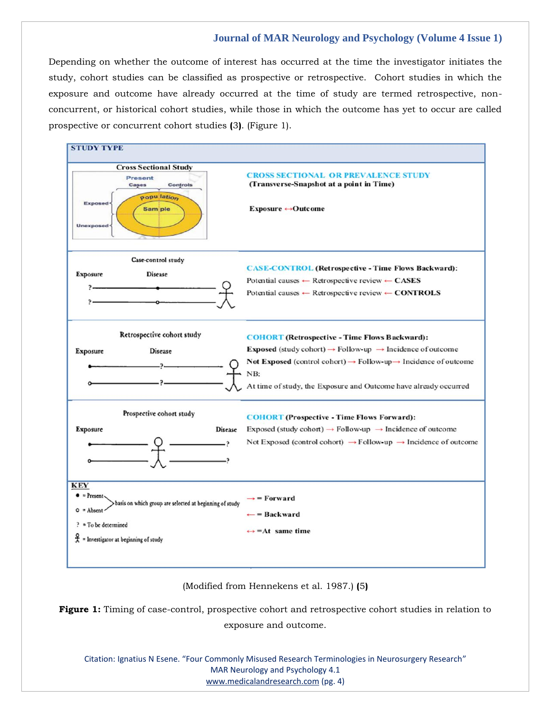Depending on whether the outcome of interest has occurred at the time the investigator initiates the study, cohort studies can be classified as prospective or retrospective. Cohort studies in which the exposure and outcome have already occurred at the time of study are termed retrospective, nonconcurrent, or historical cohort studies, while those in which the outcome has yet to occur are called prospective or concurrent cohort studies **(**3**)**. (Figure 1).



(Modified from Hennekens et al. 1987.) **(**5**)**

**Figure 1:** Timing of case-control, prospective cohort and retrospective cohort studies in relation to exposure and outcome.

Citation: Ignatius N Esene. "Four Commonly Misused Research Terminologies in Neurosurgery Research" MAR Neurology and Psychology 4.1 [www.medicalandresearch.com](http://www.medicalandresearch.com/) (pg. 4)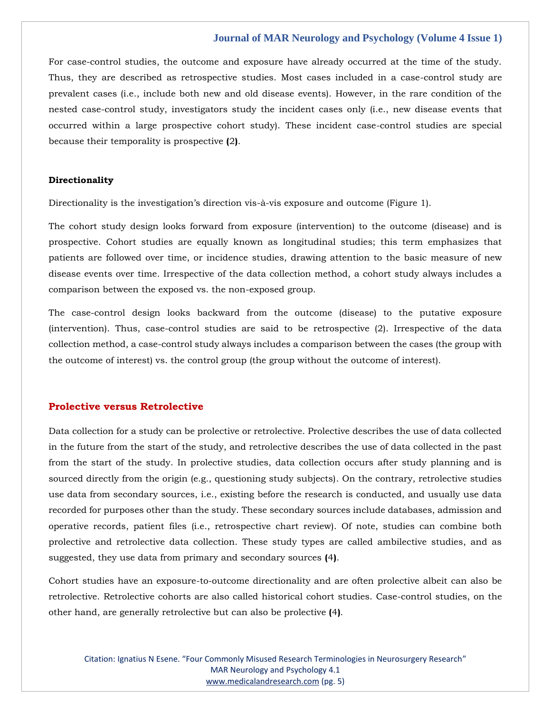For case-control studies, the outcome and exposure have already occurred at the time of the study. Thus, they are described as retrospective studies. Most cases included in a case-control study are prevalent cases (i.e., include both new and old disease events). However, in the rare condition of the nested case-control study, investigators study the incident cases only (i.e., new disease events that occurred within a large prospective cohort study). These incident case-control studies are special because their temporality is prospective **(**2**)**.

#### **Directionality**

Directionality is the investigation's direction vis-à-vis exposure and outcome (Figure 1).

The cohort study design looks forward from exposure (intervention) to the outcome (disease) and is prospective. Cohort studies are equally known as longitudinal studies; this term emphasizes that patients are followed over time, or incidence studies, drawing attention to the basic measure of new disease events over time. Irrespective of the data collection method, a cohort study always includes a comparison between the exposed vs. the non-exposed group.

The case-control design looks backward from the outcome (disease) to the putative exposure (intervention). Thus, case-control studies are said to be retrospective (2). Irrespective of the data collection method, a case-control study always includes a comparison between the cases (the group with the outcome of interest) vs. the control group (the group without the outcome of interest).

#### **Prolective versus Retrolective**

Data collection for a study can be prolective or retrolective. Prolective describes the use of data collected in the future from the start of the study, and retrolective describes the use of data collected in the past from the start of the study. In prolective studies, data collection occurs after study planning and is sourced directly from the origin (e.g., questioning study subjects). On the contrary, retrolective studies use data from secondary sources, i.e., existing before the research is conducted, and usually use data recorded for purposes other than the study. These secondary sources include databases, admission and operative records, patient files (i.e., retrospective chart review). Of note, studies can combine both prolective and retrolective data collection. These study types are called ambilective studies, and as suggested, they use data from primary and secondary sources **(**4**)**.

Cohort studies have an exposure-to-outcome directionality and are often prolective albeit can also be retrolective. Retrolective cohorts are also called historical cohort studies. Case-control studies, on the other hand, are generally retrolective but can also be prolective **(**4**)**.

Citation: Ignatius N Esene. "Four Commonly Misused Research Terminologies in Neurosurgery Research" MAR Neurology and Psychology 4.1 [www.medicalandresearch.com](http://www.medicalandresearch.com/) (pg. 5)